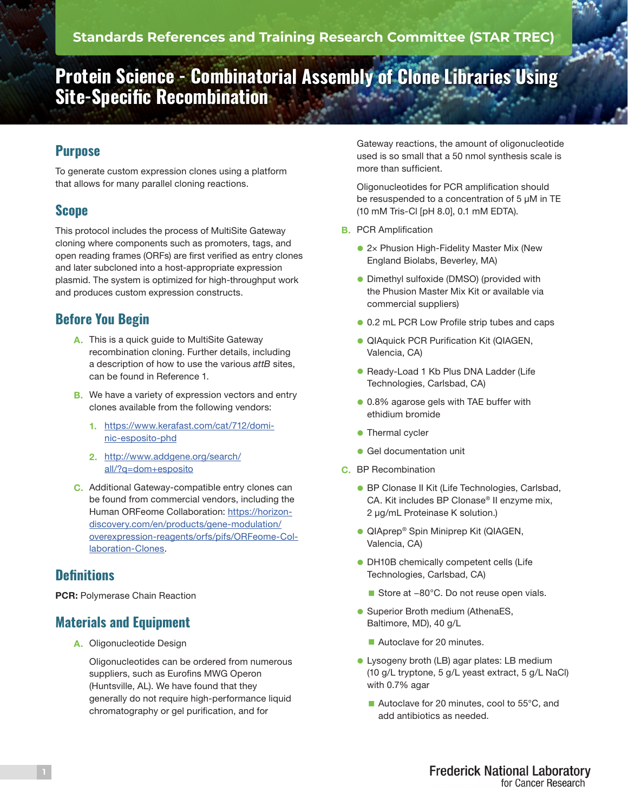# **Protein Science - Combinatorial Assembly of Clone Libraries Using Site-Specific Recombination**

## **Purpose**

To generate custom expression clones using a platform that allows for many parallel cloning reactions.

## **Scope**

This protocol includes the process of MultiSite Gateway cloning where components such as promoters, tags, and open reading frames (ORFs) are first verified as entry clones and later subcloned into a host-appropriate expression plasmid. The system is optimized for high-throughput work and produces custom expression constructs.

# **Before You Begin**

- A. This is a quick guide to MultiSite Gateway recombination cloning. Further details, including a description of how to use the various *attB* sites, can be found in Reference 1.
- **B.** We have a variety of expression vectors and entry clones available from the following vendors:
	- 1. [https://www.kerafast.com/cat/712/domi](https://www.kerafast.com/cat/712/dominic-esposito-phd)[nic-esposito-phd](https://www.kerafast.com/cat/712/dominic-esposito-phd)
	- 2. [http://www.addgene.org/search/](https://horizondiscovery.com/en/products/gene-modulation/overexpression-reagents/orfs/pifs/ORFeome-Collaboration-Clones) [all/?q=dom+esposito](https://horizondiscovery.com/en/products/gene-modulation/overexpression-reagents/orfs/pifs/ORFeome-Collaboration-Clones)
- C. Additional Gateway-compatible entry clones can be found from commercial vendors, including the Human ORFeome Collaboration: [https://horizon](https://horizondiscovery.com/en/products/gene-modulation/overexpression-reagents/orfs/pifs/ORFeome-Collaboration-Clones)[discovery.com/en/products/gene-modulation/](https://horizondiscovery.com/en/products/gene-modulation/overexpression-reagents/orfs/pifs/ORFeome-Collaboration-Clones) [overexpression-reagents/orfs/pifs/ORFeome-Col](https://horizondiscovery.com/en/products/gene-modulation/overexpression-reagents/orfs/pifs/ORFeome-Collaboration-Clones)[laboration-Clones](https://horizondiscovery.com/en/products/gene-modulation/overexpression-reagents/orfs/pifs/ORFeome-Collaboration-Clones).

#### **Definitions**

PCR: Polymerase Chain Reaction

## **Materials and Equipment**

A. Oligonucleotide Design

Oligonucleotides can be ordered from numerous suppliers, such as Eurofins MWG Operon (Huntsville, AL). We have found that they generally do not require high-performance liquid chromatography or gel purification, and for

Gateway reactions, the amount of oligonucleotide used is so small that a 50 nmol synthesis scale is more than sufficient.

Oligonucleotides for PCR amplification should be resuspended to a concentration of 5 μM in TE (10 mM Tris-Cl [pH 8.0], 0.1 mM EDTA).

- **B.** PCR Amplification
	- 2× Phusion High-Fidelity Master Mix (New England Biolabs, Beverley, MA)
	- **Dimethyl sulfoxide (DMSO) (provided with** the Phusion Master Mix Kit or available via commercial suppliers)
	- **.** 0.2 mL PCR Low Profile strip tubes and caps
	- **QIAquick PCR Purification Kit (QIAGEN,** Valencia, CA)
	- **e** Ready-Load 1 Kb Plus DNA Ladder (Life Technologies, Carlsbad, CA)
	- 0.8% agarose gels with TAE buffer with ethidium bromide
	- $\bullet$  Thermal cycler
	- **Gel documentation unit**
- C. BP Recombination
	- **BP Clonase II Kit (Life Technologies, Carlsbad,** CA. Kit includes BP Clonase® II enzyme mix, 2 μg/mL Proteinase K solution.)
	- **QIAprep® Spin Miniprep Kit (QIAGEN,** Valencia, CA)
	- **DH10B chemically competent cells (Life** Technologies, Carlsbad, CA)
		- Store at -80°C. Do not reuse open vials.
	- **Superior Broth medium (AthenaES,** Baltimore, MD), 40 g/L
		- Autoclave for 20 minutes.
	- **.** Lysogeny broth (LB) agar plates: LB medium (10 g/L tryptone, 5 g/L yeast extract, 5 g/L NaCl) with 0.7% agar
		- Autoclave for 20 minutes, cool to 55°C, and add antibiotics as needed.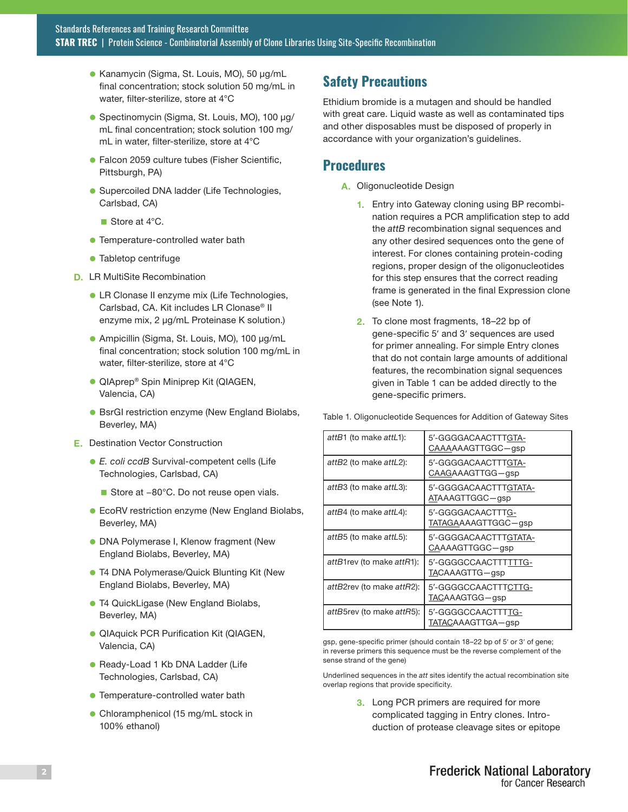- **Kanamycin (Sigma, St. Louis, MO), 50 μg/mL** final concentration; stock solution 50 mg/mL in water, filter-sterilize, store at 4°C
- **·** Spectinomycin (Sigma, St. Louis, MO), 100 μg/ mL final concentration; stock solution 100 mg/ mL in water, filter-sterilize, store at 4°C
- **Falcon 2059 culture tubes (Fisher Scientific,** Pittsburgh, PA)
- **C** Supercoiled DNA ladder (Life Technologies, Carlsbad, CA)
	- Store at  $4^{\circ}$ C.
- **Temperature-controlled water bath**
- **Tabletop centrifuge**
- D. LR MultiSite Recombination
	- **I.** LR Clonase II enzyme mix (Life Technologies, Carlsbad, CA. Kit includes LR Clonase® II enzyme mix, 2 μg/mL Proteinase K solution.)
	- **· Ampicillin (Sigma, St. Louis, MO), 100 μg/mL** final concentration; stock solution 100 mg/mL in water, filter-sterilize, store at 4°C
	- **· QIAprep® Spin Miniprep Kit (QIAGEN,** Valencia, CA)
	- **B** BsrGI restriction enzyme (New England Biolabs, Beverley, MA)
- E. Destination Vector Construction
	- l *E. coli ccdB* Survival-competent cells (Life Technologies, Carlsbad, CA)
		- Store at –80°C. Do not reuse open vials.
	- **EcoRV restriction enzyme (New England Biolabs,** Beverley, MA)
	- **DNA Polymerase I, Klenow fragment (New** England Biolabs, Beverley, MA)
	- **T4 DNA Polymerase/Quick Blunting Kit (New** England Biolabs, Beverley, MA)
	- **T4 QuickLigase (New England Biolabs,** Beverley, MA)
	- **QIAquick PCR Purification Kit (QIAGEN,** Valencia, CA)
	- **Ready-Load 1 Kb DNA Ladder (Life** Technologies, Carlsbad, CA)
	- **Temperature-controlled water bath**
	- Chloramphenicol (15 mg/mL stock in 100% ethanol)

#### **Safety Precautions**

Ethidium bromide is a mutagen and should be handled with great care. Liquid waste as well as contaminated tips and other disposables must be disposed of properly in accordance with your organization's guidelines.

#### **Procedures**

- A. Oligonucleotide Design
	- 1. Entry into Gateway cloning using BP recombination requires a PCR amplification step to add the *attB* recombination signal sequences and any other desired sequences onto the gene of interest. For clones containing protein-coding regions, proper design of the oligonucleotides for this step ensures that the correct reading frame is generated in the final Expression clone (see Note 1).
	- 2. To clone most fragments, 18–22 bp of gene-specific 5′ and 3′ sequences are used for primer annealing. For simple Entry clones that do not contain large amounts of additional features, the recombination signal sequences given in Table 1 can be added directly to the gene-specific primers.

| attB1 (to make attL1):    | 5'-GGGGACAACTTTGTA-<br>CAAAAAAGTTGGC-gsp |
|---------------------------|------------------------------------------|
| attB2 (to make attL2):    | 5'-GGGGACAACTTTGTA-<br>CAAGAAAGTTGG-gsp  |
| attB3 (to make attL3):    | 5'-GGGGACAACTTTGTATA-<br>ATAAAGTTGGC-gsp |
| attB4 (to make attL4):    | 5'-GGGGACAACTTTG-<br>TATAGAAAAGTTGGC-gsp |
| attB5 (to make attL5):    | 5'-GGGGACAACTTTGTATA-<br>CAAAAGTTGGC-gsp |
| attB1rev (to make attR1): | 5'-GGGGCCAACTTTTTTG-<br>TACAAAGTTG—gsp   |
| attB2rev (to make attR2): | 5'-GGGGCCAACTTTCTTG-<br>TACAAAGTGG—gsp   |
| attB5rev (to make attR5): | 5'-GGGGCCAACTTTTG-<br>TATACAAAGTTGA—qsp  |

Table 1. Oligonucleotide Sequences for Addition of Gateway Sites

gsp, gene-specific primer (should contain 18–22 bp of 5′ or 3′ of gene; in reverse primers this sequence must be the reverse complement of the sense strand of the gene)

Underlined sequences in the *att* sites identify the actual recombination site overlap regions that provide specificity.

> **3.** Long PCR primers are required for more complicated tagging in Entry clones. Introduction of protease cleavage sites or epitope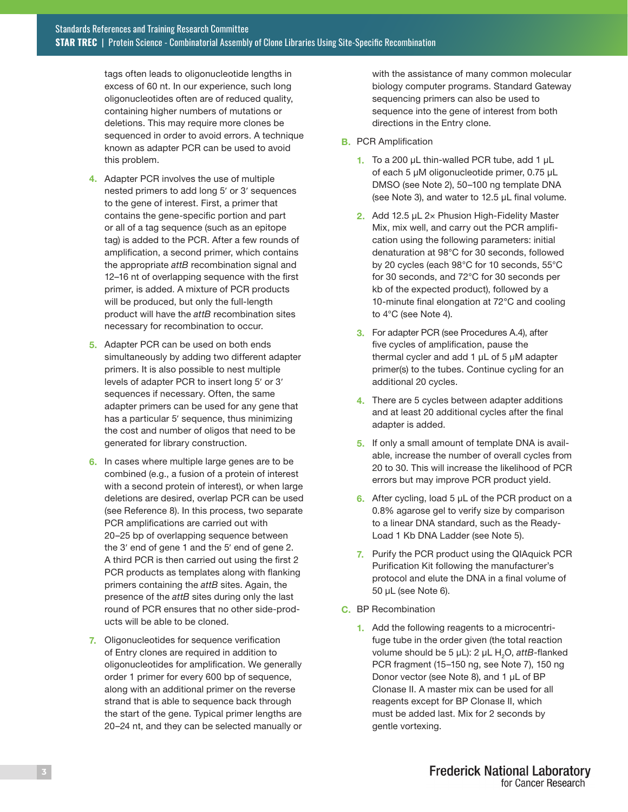tags often leads to oligonucleotide lengths in excess of 60 nt. In our experience, such long oligonucleotides often are of reduced quality, containing higher numbers of mutations or deletions. This may require more clones be sequenced in order to avoid errors. A technique known as adapter PCR can be used to avoid this problem.

- 4. Adapter PCR involves the use of multiple nested primers to add long 5′ or 3′ sequences to the gene of interest. First, a primer that contains the gene-specific portion and part or all of a tag sequence (such as an epitope tag) is added to the PCR. After a few rounds of amplification, a second primer, which contains the appropriate *attB* recombination signal and 12–16 nt of overlapping sequence with the first primer, is added. A mixture of PCR products will be produced, but only the full-length product will have the *attB* recombination sites necessary for recombination to occur.
- 5. Adapter PCR can be used on both ends simultaneously by adding two different adapter primers. It is also possible to nest multiple levels of adapter PCR to insert long 5′ or 3′ sequences if necessary. Often, the same adapter primers can be used for any gene that has a particular 5′ sequence, thus minimizing the cost and number of oligos that need to be generated for library construction.
- 6. In cases where multiple large genes are to be combined (e.g., a fusion of a protein of interest with a second protein of interest), or when large deletions are desired, overlap PCR can be used (see Reference 8). In this process, two separate PCR amplifications are carried out with 20–25 bp of overlapping sequence between the 3′ end of gene 1 and the 5′ end of gene 2. A third PCR is then carried out using the first 2 PCR products as templates along with flanking primers containing the *attB* sites. Again, the presence of the *attB* sites during only the last round of PCR ensures that no other side-products will be able to be cloned.
- 7. Oligonucleotides for sequence verification of Entry clones are required in addition to oligonucleotides for amplification. We generally order 1 primer for every 600 bp of sequence, along with an additional primer on the reverse strand that is able to sequence back through the start of the gene. Typical primer lengths are 20–24 nt, and they can be selected manually or

with the assistance of many common molecular biology computer programs. Standard Gateway sequencing primers can also be used to sequence into the gene of interest from both directions in the Entry clone.

- **B.** PCR Amplification
	- 1. To a 200  $\mu$ L thin-walled PCR tube, add 1  $\mu$ L of each 5 μM oligonucleotide primer, 0.75 μL DMSO (see Note 2), 50–100 ng template DNA (see Note 3), and water to 12.5 μL final volume.
	- 2. Add 12.5 μL 2× Phusion High-Fidelity Master Mix, mix well, and carry out the PCR amplification using the following parameters: initial denaturation at 98°C for 30 seconds, followed by 20 cycles (each 98°C for 10 seconds, 55°C for 30 seconds, and 72°C for 30 seconds per kb of the expected product), followed by a 10-minute final elongation at 72°C and cooling to 4°C (see Note 4).
	- **3.** For adapter PCR (see Procedures A.4), after five cycles of amplification, pause the thermal cycler and add 1 μL of 5 μM adapter primer(s) to the tubes. Continue cycling for an additional 20 cycles.
	- 4. There are 5 cycles between adapter additions and at least 20 additional cycles after the final adapter is added.
	- 5. If only a small amount of template DNA is available, increase the number of overall cycles from 20 to 30. This will increase the likelihood of PCR errors but may improve PCR product yield.
	- 6. After cycling, load 5  $\mu$ L of the PCR product on a 0.8% agarose gel to verify size by comparison to a linear DNA standard, such as the Ready-Load 1 Kb DNA Ladder (see Note 5).
	- 7. Purify the PCR product using the QIAquick PCR Purification Kit following the manufacturer's protocol and elute the DNA in a final volume of 50 μL (see Note 6).
- C. BP Recombination
	- 1. Add the following reagents to a microcentrifuge tube in the order given (the total reaction volume should be 5 μL): 2 μL H<sub>2</sub>O, attB-flanked PCR fragment (15–150 ng, see Note 7), 150 ng Donor vector (see Note 8), and 1 μL of BP Clonase II. A master mix can be used for all reagents except for BP Clonase II, which must be added last. Mix for 2 seconds by gentle vortexing.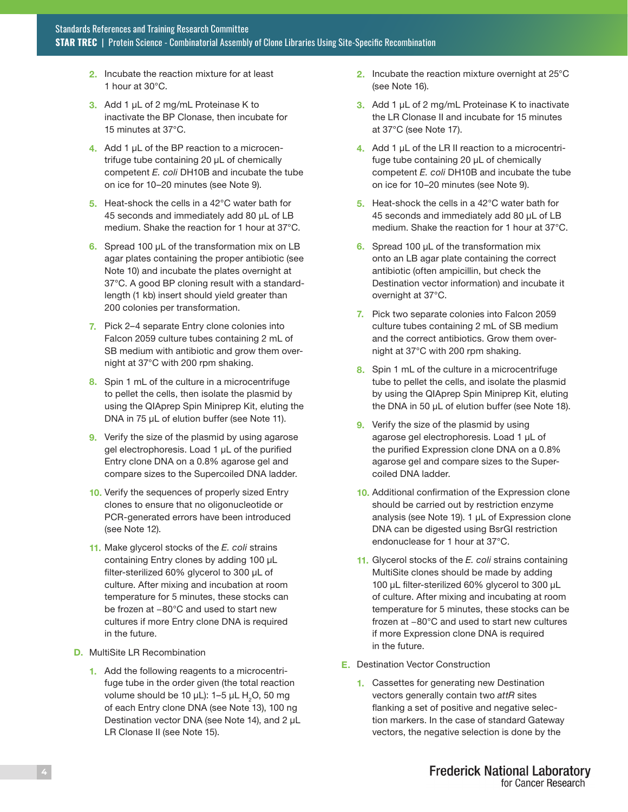- 2. Incubate the reaction mixture for at least 1 hour at 30°C.
- 3. Add 1 μL of 2 mg/mL Proteinase K to inactivate the BP Clonase, then incubate for 15 minutes at 37°C.
- 4. Add 1 μL of the BP reaction to a microcentrifuge tube containing 20 μL of chemically competent *E. coli* DH10B and incubate the tube on ice for 10–20 minutes (see Note 9).
- 5. Heat-shock the cells in a 42°C water bath for 45 seconds and immediately add 80 μL of LB medium. Shake the reaction for 1 hour at 37°C.
- 6. Spread 100 μL of the transformation mix on LB agar plates containing the proper antibiotic (see Note 10) and incubate the plates overnight at 37°C. A good BP cloning result with a standardlength (1 kb) insert should yield greater than 200 colonies per transformation.
- 7. Pick 2–4 separate Entry clone colonies into Falcon 2059 culture tubes containing 2 mL of SB medium with antibiotic and grow them overnight at 37°C with 200 rpm shaking.
- 8. Spin 1 mL of the culture in a microcentrifuge to pellet the cells, then isolate the plasmid by using the QIAprep Spin Miniprep Kit, eluting the DNA in 75 μL of elution buffer (see Note 11).
- **9.** Verify the size of the plasmid by using agarose gel electrophoresis. Load 1 μL of the purified Entry clone DNA on a 0.8% agarose gel and compare sizes to the Supercoiled DNA ladder.
- 10. Verify the sequences of properly sized Entry clones to ensure that no oligonucleotide or PCR-generated errors have been introduced (see Note 12).
- 11. Make glycerol stocks of the *E. coli* strains containing Entry clones by adding 100 μL filter-sterilized 60% glycerol to 300 μL of culture. After mixing and incubation at room temperature for 5 minutes, these stocks can be frozen at −80°C and used to start new cultures if more Entry clone DNA is required in the future.
- D. MultiSite LR Recombination
	- 1. Add the following reagents to a microcentrifuge tube in the order given (the total reaction volume should be 10 μL): 1–5 μL H $_{\rm 2}$ O, 50 mg of each Entry clone DNA (see Note 13), 100 ng Destination vector DNA (see Note 14), and 2 μL LR Clonase II (see Note 15).
- 2. Incubate the reaction mixture overnight at 25°C (see Note 16).
- 3. Add 1 μL of 2 mg/mL Proteinase K to inactivate the LR Clonase II and incubate for 15 minutes at 37°C (see Note 17).
- 4. Add 1 μL of the LR II reaction to a microcentrifuge tube containing 20 μL of chemically competent *E. coli* DH10B and incubate the tube on ice for 10–20 minutes (see Note 9).
- 5. Heat-shock the cells in a 42°C water bath for 45 seconds and immediately add 80 μL of LB medium. Shake the reaction for 1 hour at 37°C.
- 6. Spread 100  $\mu$ L of the transformation mix onto an LB agar plate containing the correct antibiotic (often ampicillin, but check the Destination vector information) and incubate it overnight at 37°C.
- 7. Pick two separate colonies into Falcon 2059 culture tubes containing 2 mL of SB medium and the correct antibiotics. Grow them overnight at 37°C with 200 rpm shaking.
- 8. Spin 1 mL of the culture in a microcentrifuge tube to pellet the cells, and isolate the plasmid by using the QIAprep Spin Miniprep Kit, eluting the DNA in 50 μL of elution buffer (see Note 18).
- 9. Verify the size of the plasmid by using agarose gel electrophoresis. Load 1 μL of the purified Expression clone DNA on a 0.8% agarose gel and compare sizes to the Supercoiled DNA ladder.
- 10. Additional confirmation of the Expression clone should be carried out by restriction enzyme analysis (see Note 19). 1 μL of Expression clone DNA can be digested using BsrGI restriction endonuclease for 1 hour at 37°C.
- 11. Glycerol stocks of the *E. coli* strains containing MultiSite clones should be made by adding 100 μL filter-sterilized 60% glycerol to 300 μL of culture. After mixing and incubating at room temperature for 5 minutes, these stocks can be frozen at −80°C and used to start new cultures if more Expression clone DNA is required in the future.
- E. Destination Vector Construction
	- 1. Cassettes for generating new Destination vectors generally contain two *attR* sites flanking a set of positive and negative selection markers. In the case of standard Gateway vectors, the negative selection is done by the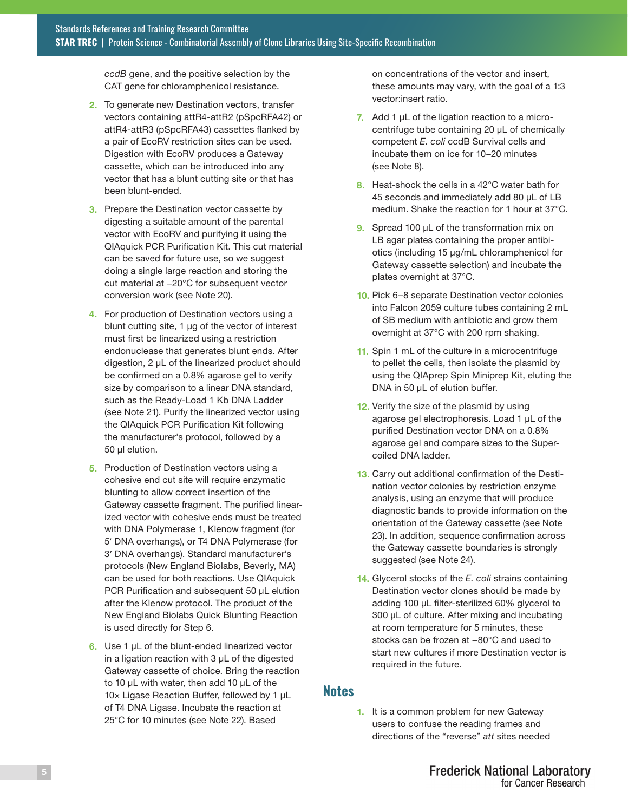*ccdB* gene, and the positive selection by the CAT gene for chloramphenicol resistance.

- 2. To generate new Destination vectors, transfer vectors containing attR4-attR2 (pSpcRFA42) or attR4-attR3 (pSpcRFA43) cassettes flanked by a pair of EcoRV restriction sites can be used. Digestion with EcoRV produces a Gateway cassette, which can be introduced into any vector that has a blunt cutting site or that has been blunt-ended.
- **3.** Prepare the Destination vector cassette by digesting a suitable amount of the parental vector with EcoRV and purifying it using the QIAquick PCR Purification Kit. This cut material can be saved for future use, so we suggest doing a single large reaction and storing the cut material at −20°C for subsequent vector conversion work (see Note 20).
- 4. For production of Destination vectors using a blunt cutting site, 1 μg of the vector of interest must first be linearized using a restriction endonuclease that generates blunt ends. After digestion, 2 μL of the linearized product should be confirmed on a 0.8% agarose gel to verify size by comparison to a linear DNA standard, such as the Ready-Load 1 Kb DNA Ladder (see Note 21). Purify the linearized vector using the QIAquick PCR Purification Kit following the manufacturer's protocol, followed by a 50 µl elution.
- 5. Production of Destination vectors using a cohesive end cut site will require enzymatic blunting to allow correct insertion of the Gateway cassette fragment. The purified linearized vector with cohesive ends must be treated with DNA Polymerase 1, Klenow fragment (for 5′ DNA overhangs), or T4 DNA Polymerase (for 3′ DNA overhangs). Standard manufacturer's protocols (New England Biolabs, Beverly, MA) can be used for both reactions. Use QIAquick PCR Purification and subsequent 50 μL elution after the Klenow protocol. The product of the New England Biolabs Quick Blunting Reaction is used directly for Step 6.
- 6. Use 1 μL of the blunt-ended linearized vector in a ligation reaction with 3 μL of the digested Gateway cassette of choice. Bring the reaction to 10 μL with water, then add 10 μL of the 10× Ligase Reaction Buffer, followed by 1 μL of T4 DNA Ligase. Incubate the reaction at 25°C for 10 minutes (see Note 22). Based

on concentrations of the vector and insert, these amounts may vary, with the goal of a 1:3 vector:insert ratio.

- 7. Add 1  $\mu$ L of the ligation reaction to a microcentrifuge tube containing 20 μL of chemically competent *E. coli* ccdB Survival cells and incubate them on ice for 10–20 minutes (see Note 8).
- 8. Heat-shock the cells in a 42°C water bath for 45 seconds and immediately add 80 μL of LB medium. Shake the reaction for 1 hour at 37°C.
- 9. Spread 100 μL of the transformation mix on LB agar plates containing the proper antibiotics (including 15 μg/mL chloramphenicol for Gateway cassette selection) and incubate the plates overnight at 37°C.
- 10. Pick 6–8 separate Destination vector colonies into Falcon 2059 culture tubes containing 2 mL of SB medium with antibiotic and grow them overnight at 37°C with 200 rpm shaking.
- 11. Spin 1 mL of the culture in a microcentrifuge to pellet the cells, then isolate the plasmid by using the QIAprep Spin Miniprep Kit, eluting the DNA in 50 μL of elution buffer.
- 12. Verify the size of the plasmid by using agarose gel electrophoresis. Load 1 μL of the purified Destination vector DNA on a 0.8% agarose gel and compare sizes to the Supercoiled DNA ladder.
- 13. Carry out additional confirmation of the Destination vector colonies by restriction enzyme analysis, using an enzyme that will produce diagnostic bands to provide information on the orientation of the Gateway cassette (see Note 23). In addition, sequence confirmation across the Gateway cassette boundaries is strongly suggested (see Note 24).
- 14. Glycerol stocks of the *E. coli* strains containing Destination vector clones should be made by adding 100 μL filter-sterilized 60% glycerol to 300 μL of culture. After mixing and incubating at room temperature for 5 minutes, these stocks can be frozen at −80°C and used to start new cultures if more Destination vector is required in the future.

#### **Notes**

1. It is a common problem for new Gateway users to confuse the reading frames and directions of the "reverse" *att* sites needed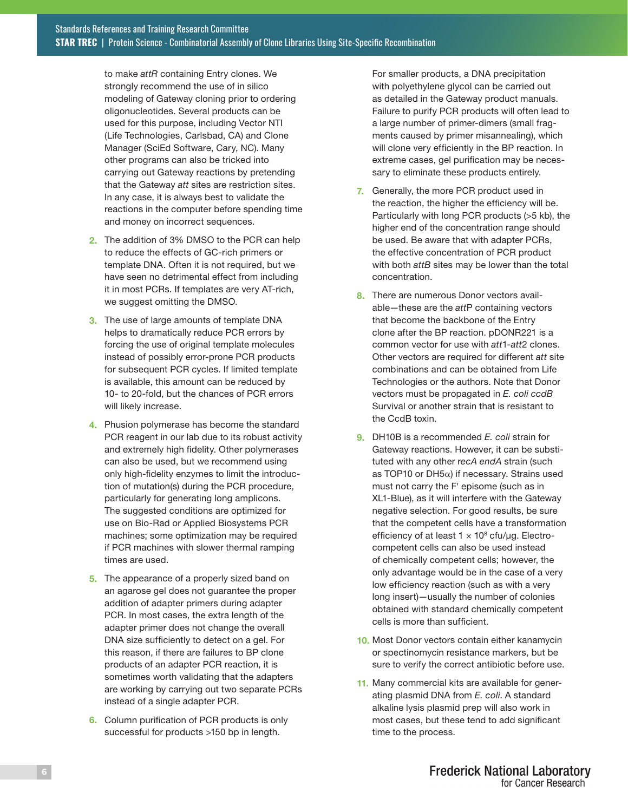to make *attR* containing Entry clones. We strongly recommend the use of in silico modeling of Gateway cloning prior to ordering oligonucleotides. Several products can be used for this purpose, including Vector NTI (Life Technologies, Carlsbad, CA) and Clone Manager (SciEd Software, Cary, NC). Many other programs can also be tricked into carrying out Gateway reactions by pretending that the Gateway *att* sites are restriction sites. In any case, it is always best to validate the reactions in the computer before spending time and money on incorrect sequences.

- 2. The addition of 3% DMSO to the PCR can help to reduce the effects of GC-rich primers or template DNA. Often it is not required, but we have seen no detrimental effect from including it in most PCRs. If templates are very AT-rich, we suggest omitting the DMSO.
- **3.** The use of large amounts of template DNA helps to dramatically reduce PCR errors by forcing the use of original template molecules instead of possibly error-prone PCR products for subsequent PCR cycles. If limited template is available, this amount can be reduced by 10- to 20-fold, but the chances of PCR errors will likely increase.
- 4. Phusion polymerase has become the standard PCR reagent in our lab due to its robust activity and extremely high fidelity. Other polymerases can also be used, but we recommend using only high-fidelity enzymes to limit the introduction of mutation(s) during the PCR procedure, particularly for generating long amplicons. The suggested conditions are optimized for use on Bio-Rad or Applied Biosystems PCR machines; some optimization may be required if PCR machines with slower thermal ramping times are used.
- 5. The appearance of a properly sized band on an agarose gel does not guarantee the proper addition of adapter primers during adapter PCR. In most cases, the extra length of the adapter primer does not change the overall DNA size sufficiently to detect on a gel. For this reason, if there are failures to BP clone products of an adapter PCR reaction, it is sometimes worth validating that the adapters are working by carrying out two separate PCRs instead of a single adapter PCR.
- 6. Column purification of PCR products is only successful for products >150 bp in length.

For smaller products, a DNA precipitation with polyethylene glycol can be carried out as detailed in the Gateway product manuals. Failure to purify PCR products will often lead to a large number of primer-dimers (small fragments caused by primer misannealing), which will clone very efficiently in the BP reaction. In extreme cases, gel purification may be necessary to eliminate these products entirely.

- 7. Generally, the more PCR product used in the reaction, the higher the efficiency will be. Particularly with long PCR products (>5 kb), the higher end of the concentration range should be used. Be aware that with adapter PCRs, the effective concentration of PCR product with both *attB* sites may be lower than the total concentration.
- 8. There are numerous Donor vectors available—these are the *att*P containing vectors that become the backbone of the Entry clone after the BP reaction. pDONR221 is a common vector for use with *att*1-*att*2 clones. Other vectors are required for different *att* site combinations and can be obtained from Life Technologies or the authors. Note that Donor vectors must be propagated in *E. coli ccdB* Survival or another strain that is resistant to the CcdB toxin.
- 9. DH10B is a recommended *E. coli* strain for Gateway reactions. However, it can be substituted with any other r*ecA endA* strain (such as TOP10 or DH5 $\alpha$ ) if necessary. Strains used must not carry the F′ episome (such as in XL1-Blue), as it will interfere with the Gateway negative selection. For good results, be sure that the competent cells have a transformation efficiency of at least  $1 \times 10^8$  cfu/µg. Electrocompetent cells can also be used instead of chemically competent cells; however, the only advantage would be in the case of a very low efficiency reaction (such as with a very long insert)—usually the number of colonies obtained with standard chemically competent cells is more than sufficient.
- 10. Most Donor vectors contain either kanamycin or spectinomycin resistance markers, but be sure to verify the correct antibiotic before use.
- 11. Many commercial kits are available for generating plasmid DNA from *E. coli*. A standard alkaline lysis plasmid prep will also work in most cases, but these tend to add significant time to the process.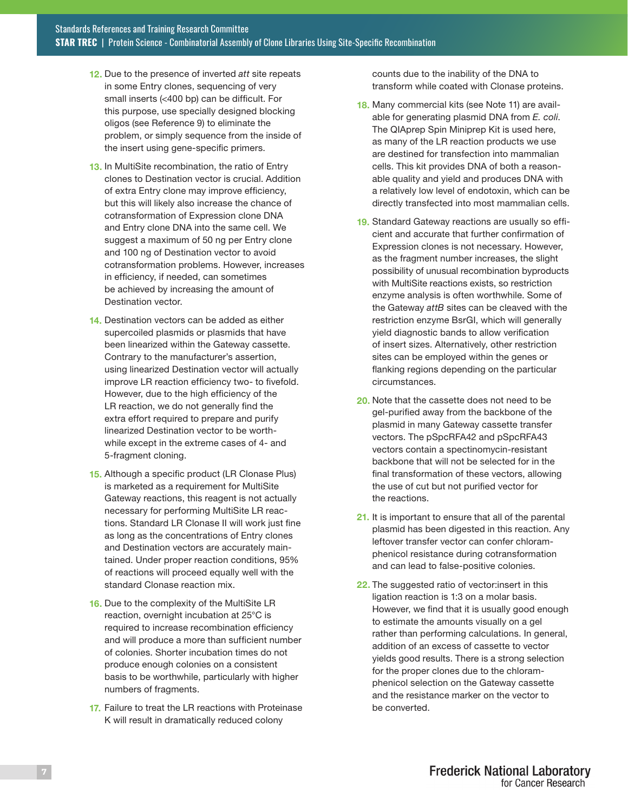- 12. Due to the presence of inverted *att* site repeats in some Entry clones, sequencing of very small inserts (<400 bp) can be difficult. For this purpose, use specially designed blocking oligos (see Reference 9) to eliminate the problem, or simply sequence from the inside of the insert using gene-specific primers.
- 13. In MultiSite recombination, the ratio of Entry clones to Destination vector is crucial. Addition of extra Entry clone may improve efficiency, but this will likely also increase the chance of cotransformation of Expression clone DNA and Entry clone DNA into the same cell. We suggest a maximum of 50 ng per Entry clone and 100 ng of Destination vector to avoid cotransformation problems. However, increases in efficiency, if needed, can sometimes be achieved by increasing the amount of Destination vector.
- 14. Destination vectors can be added as either supercoiled plasmids or plasmids that have been linearized within the Gateway cassette. Contrary to the manufacturer's assertion, using linearized Destination vector will actually improve LR reaction efficiency two- to fivefold. However, due to the high efficiency of the LR reaction, we do not generally find the extra effort required to prepare and purify linearized Destination vector to be worthwhile except in the extreme cases of 4- and 5-fragment cloning.
- 15. Although a specific product (LR Clonase Plus) is marketed as a requirement for MultiSite Gateway reactions, this reagent is not actually necessary for performing MultiSite LR reactions. Standard LR Clonase II will work just fine as long as the concentrations of Entry clones and Destination vectors are accurately maintained. Under proper reaction conditions, 95% of reactions will proceed equally well with the standard Clonase reaction mix.
- 16. Due to the complexity of the MultiSite LR reaction, overnight incubation at 25°C is required to increase recombination efficiency and will produce a more than sufficient number of colonies. Shorter incubation times do not produce enough colonies on a consistent basis to be worthwhile, particularly with higher numbers of fragments.
- 17. Failure to treat the LR reactions with Proteinase K will result in dramatically reduced colony

counts due to the inability of the DNA to transform while coated with Clonase proteins.

- 18. Many commercial kits (see Note 11) are available for generating plasmid DNA from *E. coli*. The QIAprep Spin Miniprep Kit is used here, as many of the LR reaction products we use are destined for transfection into mammalian cells. This kit provides DNA of both a reasonable quality and yield and produces DNA with a relatively low level of endotoxin, which can be directly transfected into most mammalian cells.
- 19. Standard Gateway reactions are usually so efficient and accurate that further confirmation of Expression clones is not necessary. However, as the fragment number increases, the slight possibility of unusual recombination byproducts with MultiSite reactions exists, so restriction enzyme analysis is often worthwhile. Some of the Gateway *attB* sites can be cleaved with the restriction enzyme BsrGI, which will generally yield diagnostic bands to allow verification of insert sizes. Alternatively, other restriction sites can be employed within the genes or flanking regions depending on the particular circumstances.
- 20. Note that the cassette does not need to be gel-purified away from the backbone of the plasmid in many Gateway cassette transfer vectors. The pSpcRFA42 and pSpcRFA43 vectors contain a spectinomycin-resistant backbone that will not be selected for in the final transformation of these vectors, allowing the use of cut but not purified vector for the reactions.
- 21. It is important to ensure that all of the parental plasmid has been digested in this reaction. Any leftover transfer vector can confer chloramphenicol resistance during cotransformation and can lead to false-positive colonies.
- 22. The suggested ratio of vector: insert in this ligation reaction is 1:3 on a molar basis. However, we find that it is usually good enough to estimate the amounts visually on a gel rather than performing calculations. In general, addition of an excess of cassette to vector yields good results. There is a strong selection for the proper clones due to the chloramphenicol selection on the Gateway cassette and the resistance marker on the vector to be converted.